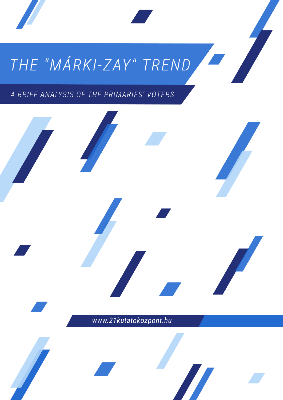# THE "MÁRKI-ZAY" TREND

 *The* **"***Márky-Zay" Trend 21 Research Center*

A BRIEF ANALYSIS OF THE PRIMARIES' VOTERS

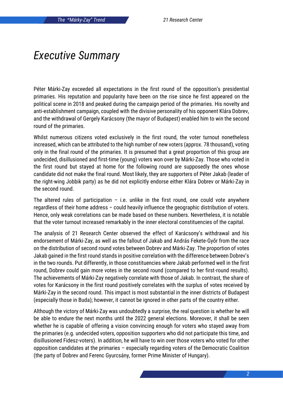#### *Executive Summary*

Péter Márki-Zay exceeded all expectations in the first round of the opposition's presidential primaries. His reputation and popularity have been on the rise since he first appeared on the political scene in 2018 and peaked during the campaign period of the primaries. His novelty and anti-establishment campaign, coupled with the divisive personality of his opponent Klára Dobrev, and the withdrawal of Gergely Karácsony (the mayor of Budapest) enabled him to win the second round of the primaries.

Whilst numerous citizens voted exclusively in the first round, the voter turnout nonetheless increased, which can be attributed to the high number of new voters (approx. 78 thousand), voting only in the final round of the primaries. It is presumed that a great proportion of this group are undecided, disillusioned and first-time (young) voters won over by Márki-Zay. Those who voted in the first round but stayed at home for the following round are supposedly the ones whose candidate did not make the final round. Most likely, they are supporters of Péter Jakab (leader of the right-wing Jobbik party) as he did not explicitly endorse either Klára Dobrev or Márki-Zay in the second round.

The altered rules of participation  $-$  i.e. unlike in the first round, one could vote anywhere regardless of their home address – could heavily influence the geographic distribution of voters. Hence, only weak correlations can be made based on these numbers. Nevertheless, it is notable that the voter turnout increased remarkably in the inner electoral constituencies of the capital.

The analysis of 21 Research Center observed the effect of Karácsony's withdrawal and his endorsement of Márki-Zay, as well as the fallout of Jakab and András Fekete-Győr from the race on the distribution of second round votes between Dobrev and Márki-Zay. The proportion of votes Jakab gained in the first round stands in positive correlation with the difference between Dobrev's in the two rounds. Put differently, in those constituencies where Jakab performed well in the first round, Dobrev could gain more votes in the second round (compared to her first-round results). The achievements of Márki-Zay negatively correlate with those of Jakab. In contrast, the share of votes for Karácsony in the first round positively correlates with the surplus of votes received by Márki-Zay in the second round. This impact is most substantial in the inner districts of Budapest (especially those in Buda); however, it cannot be ignored in other parts of the country either.

Although the victory of Márki-Zay was undoubtedly a surprise, the real question is whether he will be able to endure the next months until the 2022 general elections. Moreover, it shall be seen whether he is capable of offering a vision convincing enough for voters who stayed away from the primaries (e.g. undecided voters, opposition supporters who did not participate this time, and disillusioned Fidesz-voters). In addition, he will have to win over those voters who voted for other opposition candidates at the primaries – especially regarding voters of the Democratic Coalition (the party of Dobrev and Ferenc Gyurcsány, former Prime Minister of Hungary).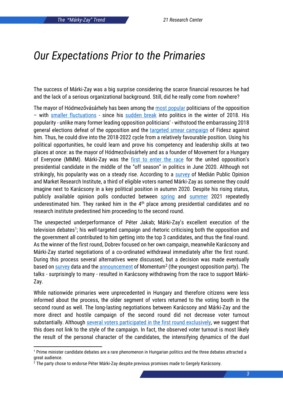#### *Our Expectations Prior to the Primaries*

The success of Márki-Zay was a big surprise considering the scarce financial resources he had and the lack of a serious organizational background. Still, did he really come from nowhere?

The mayor of Hódmezővásárhely has been among the [most popular](https://index.hu/belfold/2018/06/28/marki-zay_peter_a_legnepszerubb_ellenzeki_politikus/) politicians of the opposition – with [smaller fluctuations](https://hvg.hu/itthon/20210322_Zavecz_Jakab_Peter_miniszterelnok_jelolt) - since his [sudden break](https://index.hu/belfold/2018/02/25/hodmezovasarhelyi_idokozi_polgarmester-valasztas_eredmenye_hegedus_zoltan_marki-zay_peter/) into politics in the winter of 2018. His popularity - unlike many former leading opposition politicians' - withstood the embarrassing 2018 general elections defeat of the opposition and the [targeted smear campaign](https://www.origo.hu/itthon/20210810-markizay-peter-felesege-tobb-csecsemo-halalat-okozhatta.html) of Fidesz against him. Thus, he could dive into the 2018-2022 cycle from a relatively favourable position. Using his political opportunities, he could learn and prove his competency and leadership skills at two places at once: as the mayor of Hódmezővásárhely and as a founder of Movement for a Hungary of Everyone (MMM). Márki-Zay was the [first to enter the race](https://hvg.hu/itthon/20200701_MarkiZay_Peter_miniszterelnok_Karacsony) for the united opposition's presidential candidate in the middle of the "off season" in politics in June 2020. Although not strikingly, his popularity was on a steady rise. According to a [survey](https://hang.hu/belfold/hvg-marki-zay-es-karacsony-a-ket-legnepszerubb-ellenzeki-politikus-111750) of Medián Public Opinion and Market Research Institute, a third of eligible voters named Márki-Zay as someone they could imagine next to Karácsony in a key political position in autumn 2020. Despite his rising status, publicly available opinion polls conducted between [spring](https://index.hu/belfold/2021/02/24/median-felmeres-median-karacsony-gergely-dobrev-klara/) and [summer](https://nepszava.hu/3123350_a-median-szerint-jakab-peter-a-legnepszerubb-ellenzeki-miniszterelnok-jelolt) 2021 repeatedly underestimated him. They ranked him in the 4<sup>th</sup> place among presidential candidates and no research institute predestined him proceeding to the second round.

The unexpected underperformance of Péter Jakab; Márki-Zay's excellent execution of the television debates<sup>1</sup>; his well-targeted campaign and rhetoric criticising both the opposition and the government all contributed to him getting into the top 3 candidates, and thus the final round. As the winner of the first round, Dobrev focused on her own campaign, meanwhile Karácsony and Márki-Zay started negotiations of a co-ordinated withdrawal immediately after the first round. During this process several alternatives were discussed, but a decision was made eventually based on <u>survey</u> data and the <u>announcement</u> of Momentum<sup>2</sup> (the youngest opposition party). The talks - surprisingly to many - resulted in Karácsony withdrawing from the race to support Márki-Zay.

While nationwide primaries were unprecedented in Hungary and therefore citizens were less informed about the process, the older segment of voters returned to the voting booth in the second round as well. The long-lasting negotiations between Karácsony and Márki-Zay and the more direct and hostile campaign of the second round did not decrease voter turnout substantially. Although [several voters participated in the first round exclusively,](https://444.hu/2021/10/17/sokan-voltak-olyanok-is-akik-az-elso-forduloban-szavaztak-de-a-masodikban-nem) we suggest that this does not link to the style of the campaign. In fact, the observed voter turnout is most likely the result of the personal character of the candidates, the intensifying dynamics of the duel

<sup>1</sup> Prime minister candidate debates are a rare phenomenon in Hungarian politics and the three debates attracted a great audience.

 $2$  The party chose to endorse Péter Márki-Zay despite previous promises made to Gergely Karácsony.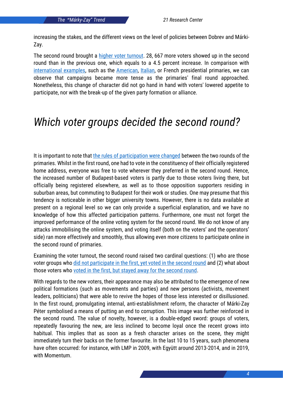increasing the stakes, and the different views on the level of policies between Dobrev and Márki-Zay.

The second round brought a [higher voter turnout.](https://atlo.team/elovalasztaseredmenyek/) 28, 667 more voters showed up in the second round than in the previous one, which equals to a 4.5 percent increase. In comparison with [international examples,](http://republikon.hu/media/100793/republikon-elovalasztas-reszvetel-21-09-18.pdf?fbclid=IwAR1yMU4zodl_nsP6SpL8FWZFBv0yxsTMN4V56KkhXPS0fxf-dkbHTYZ_TW8) such as the [American,](https://www.nytimes.com/2020/08/13/us/politics/biden-harris.html) [Italian,](https://www.euractiv.com/section/elections/news/italian-left-picks-bersani-for-monti-s-successor/) or French presidential primaries, we can observe that campaigns became more tense as the primaries' final round approached. Nonetheless, this change of character did not go hand in hand with voters' lowered appetite to participate, nor with the break-up of the given party formation or alliance.

### *Which voter groups decided the second round?*

It is important to note that [the rules of participation were changed](https://hvg.hu/itthon/20210928_Elovalasztas_ujratervezes_masodik_fordulo) between the two rounds of the primaries. Whilst in the first round, one had to vote in the constituency of their officially registered home address, everyone was free to vote wherever they preferred in the second round. Hence, the increased number of Budapest-based voters is partly due to those voters living there, but officially being registered elsewhere, as well as to those opposition supporters residing in suburban areas, but commuting to Budapest for their work or studies. One may presume that this tendency is noticeable in other bigger university towns. However, there is no data available at present on a regional level so we can only provide a superficial explanation, and we have no knowledge of how this affected participation patterns. Furthermore, one must not forget the improved performance of the online voting system for the second round. We do not know of any attacks immobilising the online system, and voting itself (both on the voters' and the operators' side) ran more effectively and smoothly, thus allowing even more citizens to participate online in the second round of primaries.

Examining the voter turnout, the second round raised two cardinal questions: (1) who are those voter groups wh[o did not participate in the first, yet voted in the second round](https://hvg.hu/itthon/20211014_ellenzeki_elovalasztas_uj_szavazok) and (2) what about those voters who [voted in the first, but stayed away for the second round.](https://merce.hu/pp/2021/10/17/javaban-folyik-az-elovalasztas-masodik-fordulojaban-leadott-szavazatok-szamlalasa-erkeznek-az-elso-reszeredmenyek/rekord-szamu-reszvetel-a-masodik-forduloban-is-de-190-ezren-mar-nem-mentek-masodjara-szavazni/)

With regards to the new voters, their appearance may also be attributed to the emergence of new political formations (such as movements and parties) and new persons (activists, movement leaders, politicians) that were able to revive the hopes of those less interested or disillusioned. In the first round, promulgating internal, anti-establishment reform, the character of Márki-Zay Péter symbolised a means of putting an end to corruption. This image was further reinforced in the second round. The value of novelty, however, is a double-edged sword: groups of voters, repeatedly favouring the new, are less inclined to become loyal once the recent grows into habitual. This implies that as soon as a fresh character arises on the scene, they might immediately turn their backs on the former favourite. In the last 10 to 15 years, such phenomena have often occurred: for instance, with LMP in 2009, with Együtt around 2013-2014, and in 2019, with Momentum.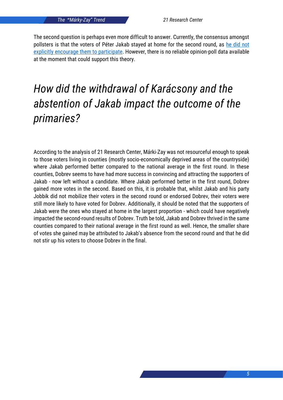The second question is perhaps even more difficult to answer. Currently, the consensus amongst pollsters is that the voters of Péter Jakab stayed at home for the second round, as [he did not](https://www.facebook.com/jakab.peter.miskolc/photos/a.2843171275745168/4752934298102180/)  [explicitly encourage them to participate.](https://www.facebook.com/jakab.peter.miskolc/photos/a.2843171275745168/4752934298102180/) However, there is no reliable opinion-poll data available at the moment that could support this theory.

# *How did the withdrawal of Karácsony and the abstention of Jakab impact the outcome of the primaries?*

According to the analysis of 21 Research Center, Márki-Zay was not resourceful enough to speak to those voters living in counties (mostly socio-economically deprived areas of the countryside) where Jakab performed better compared to the national average in the first round. In these counties, Dobrev seems to have had more success in convincing and attracting the supporters of Jakab - now left without a candidate. Where Jakab performed better in the first round, Dobrev gained more votes in the second. Based on this, it is probable that, whilst Jakab and his party Jobbik did not mobilize their voters in the second round or endorsed Dobrev, their voters were still more likely to have voted for Dobrev. Additionally, it should be noted that the supporters of Jakab were the ones who stayed at home in the largest proportion - which could have negatively impacted the second-round results of Dobrev. Truth be told, Jakab and Dobrev thrived in the same counties compared to their national average in the first round as well. Hence, the smaller share of votes she gained may be attributed to Jakab's absence from the second round and that he did not stir up his voters to choose Dobrev in the final.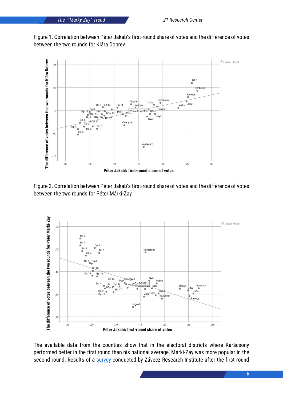Figure 1. Correlation between Péter Jakab's first-round share of votes and the difference of votes between the two rounds for Klára Dobrev



Figure 2. Correlation between Péter Jakab's first-round share of votes and the difference of votes between the two rounds for Péter Márki-Zay



The available data from the counties show that in the electoral districts where Karácsony performed better in the first round than his national average, Márki-Zay was more popular in the second round. Results of a [survey](https://24.hu/belfold/2021/10/06/elovalasztas-marki-zay-peter-karacsony-gergely-dobrev-klara-zavecz-felmeres-kozvelemenykutatas/) conducted by Závecz Research Institute after the first round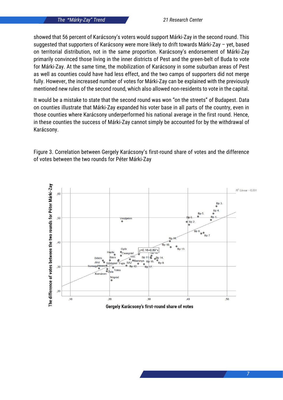showed that 56 percent of Karácsony's voters would support Márki-Zay in the second round. This suggested that supporters of Karácsony were more likely to drift towards Márki-Zay – yet, based on territorial distribution, not in the same proportion. Karácsony's endorsement of Márki-Zay primarily convinced those living in the inner districts of Pest and the green-belt of Buda to vote for Márki-Zay. At the same time, the mobilization of Karácsony in some suburban areas of Pest as well as counties could have had less effect, and the two camps of supporters did not merge fully. However, the increased number of votes for Márki-Zay can be explained with the previously mentioned new rules of the second round, which also allowed non-residents to vote in the capital.

It would be a mistake to state that the second round was won "on the streets" of Budapest. Data on counties illustrate that Márki-Zay expanded his voter base in all parts of the country, even in those counties where Karácsony underperformed his national average in the first round. Hence, in these counties the success of Márki-Zay cannot simply be accounted for by the withdrawal of Karácsony.



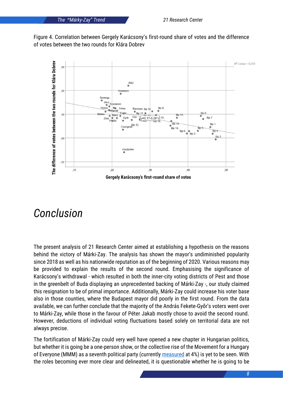*The* **"***Márky-Zay" Trend 21 Research Center*





## *Conclusion*

The present analysis of 21 Research Center aimed at establishing a hypothesis on the reasons behind the victory of Márki-Zay. The analysis has shown the mayor's undiminished popularity since 2018 as well as his nationwide reputation as of the beginning of 2020. Various reasons may be provided to explain the results of the second round. Emphasising the significance of Karácsony's withdrawal - which resulted in both the inner-city voting districts of Pest and those in the greenbelt of Buda displaying an unprecedented backing of Márki-Zay -, our study claimed this resignation to be of primal importance. Additionally, Márki-Zay could increase his voter base also in those counties, where the Budapest mayor did poorly in the first round. From the data available, we can further conclude that the majority of the András Fekete-Győr's voters went over to Márki-Zay, while those in the favour of Péter Jakab mostly chose to avoid the second round. However, deductions of individual voting fluctuations based solely on territorial data are not always precise.

The fortification of Márki-Zay could very well have opened a new chapter in Hungarian politics, but whether it is going be a one-person show, or the collective rise of the Movement for a Hungary of Everyone (MMM) as a seventh political party (currently [measured](https://publicus.hu/blog/partok-tamogatottsaga-2021-oktober/) at 4%) is yet to be seen. With the roles becoming ever more clear and delineated, it is questionable whether he is going to be